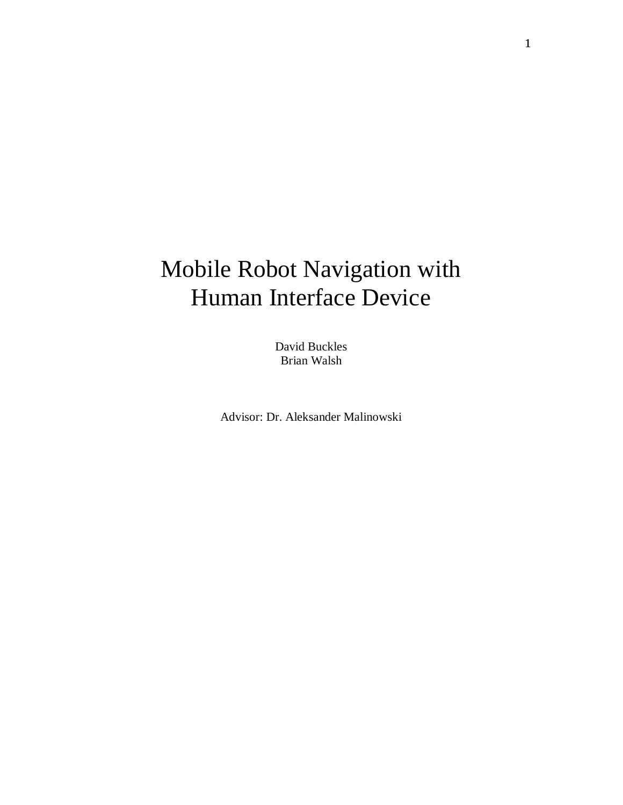# Mobile Robot Navigation with Human Interface Device

David Buckles Brian Walsh

Advisor: Dr. Aleksander Malinowski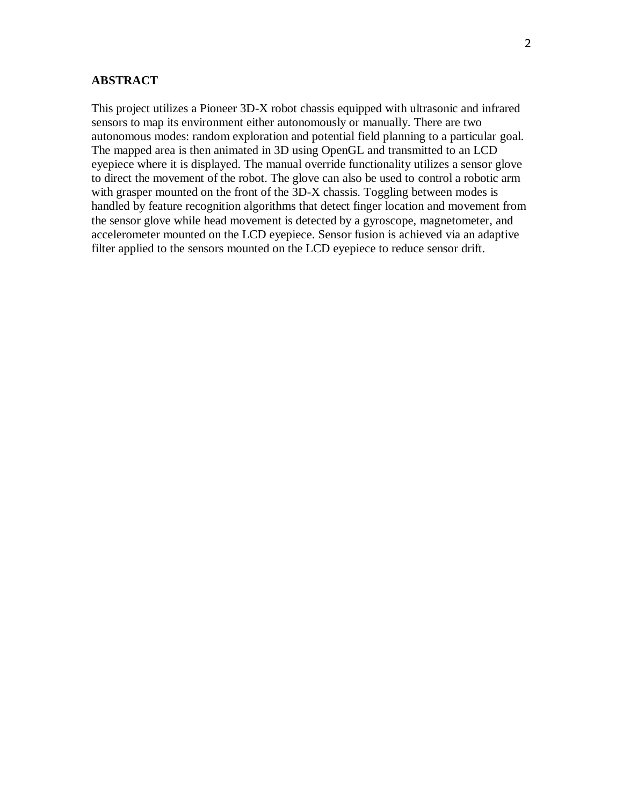#### **ABSTRACT**

This project utilizes a Pioneer 3D-X robot chassis equipped with ultrasonic and infrared sensors to map its environment either autonomously or manually. There are two autonomous modes: random exploration and potential field planning to a particular goal. The mapped area is then animated in 3D using OpenGL and transmitted to an LCD eyepiece where it is displayed. The manual override functionality utilizes a sensor glove to direct the movement of the robot. The glove can also be used to control a robotic arm with grasper mounted on the front of the 3D-X chassis. Toggling between modes is handled by feature recognition algorithms that detect finger location and movement from the sensor glove while head movement is detected by a gyroscope, magnetometer, and accelerometer mounted on the LCD eyepiece. Sensor fusion is achieved via an adaptive filter applied to the sensors mounted on the LCD eyepiece to reduce sensor drift.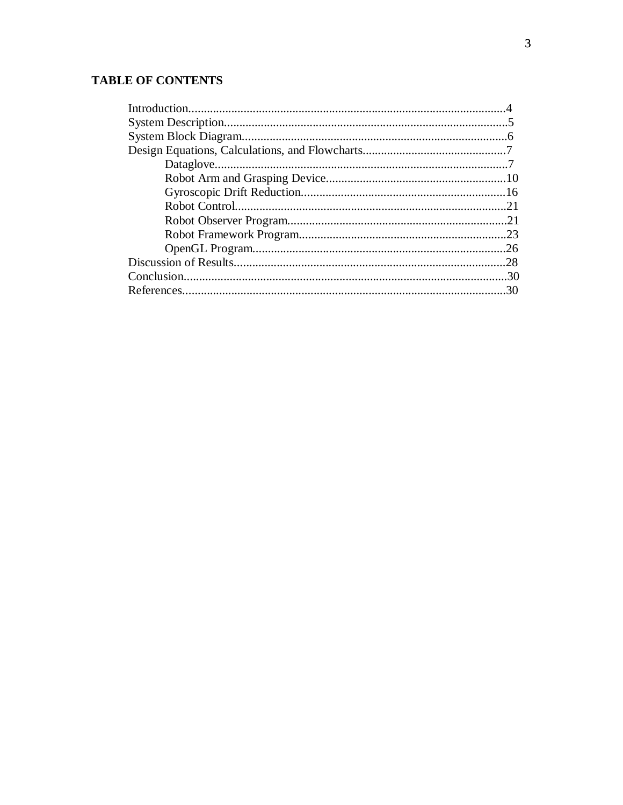## **TABLE OF CONTENTS**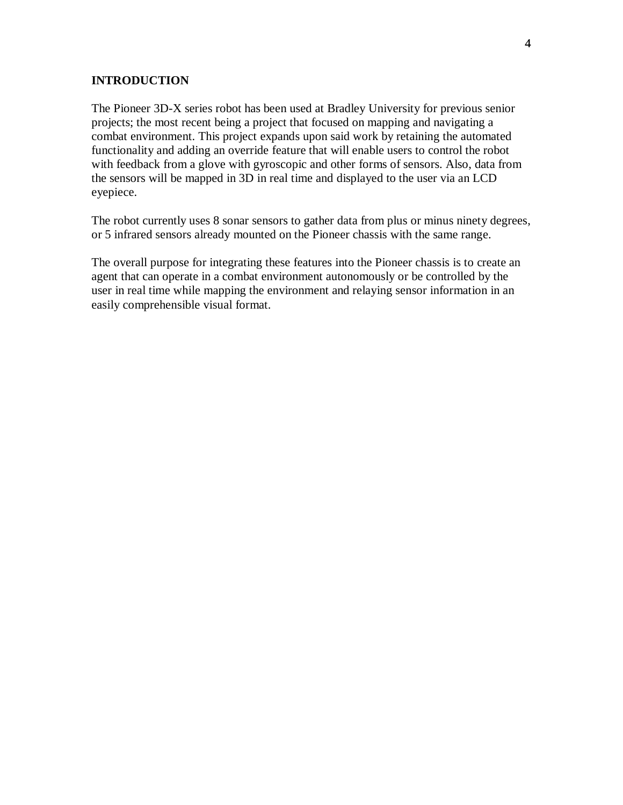#### **INTRODUCTION**

The Pioneer 3D-X series robot has been used at Bradley University for previous senior projects; the most recent being a project that focused on mapping and navigating a combat environment. This project expands upon said work by retaining the automated functionality and adding an override feature that will enable users to control the robot with feedback from a glove with gyroscopic and other forms of sensors. Also, data from the sensors will be mapped in 3D in real time and displayed to the user via an LCD eyepiece.

The robot currently uses 8 sonar sensors to gather data from plus or minus ninety degrees, or 5 infrared sensors already mounted on the Pioneer chassis with the same range.

The overall purpose for integrating these features into the Pioneer chassis is to create an agent that can operate in a combat environment autonomously or be controlled by the user in real time while mapping the environment and relaying sensor information in an easily comprehensible visual format.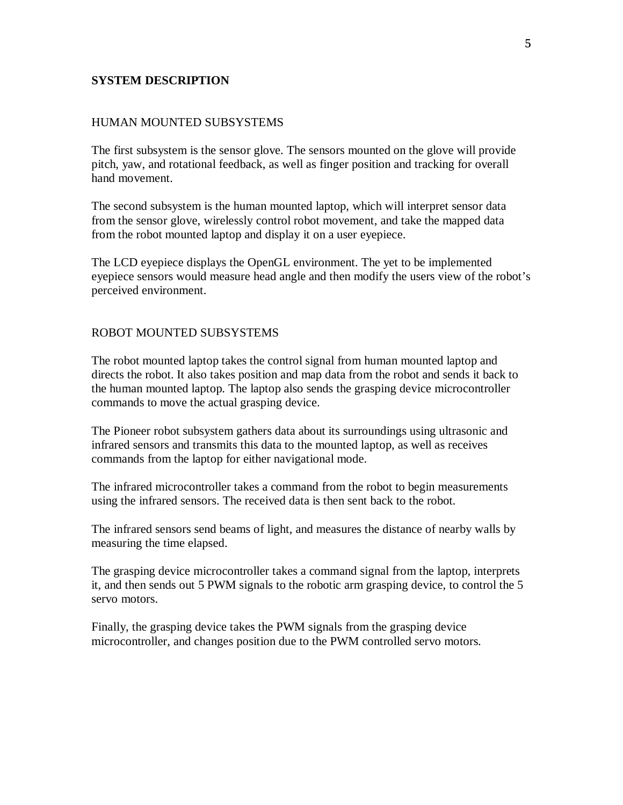### **SYSTEM DESCRIPTION**

#### HUMAN MOUNTED SUBSYSTEMS

The first subsystem is the sensor glove. The sensors mounted on the glove will provide pitch, yaw, and rotational feedback, as well as finger position and tracking for overall hand movement.

The second subsystem is the human mounted laptop, which will interpret sensor data from the sensor glove, wirelessly control robot movement, and take the mapped data from the robot mounted laptop and display it on a user eyepiece.

The LCD eyepiece displays the OpenGL environment. The yet to be implemented eyepiece sensors would measure head angle and then modify the users view of the robot's perceived environment.

#### ROBOT MOUNTED SUBSYSTEMS

The robot mounted laptop takes the control signal from human mounted laptop and directs the robot. It also takes position and map data from the robot and sends it back to the human mounted laptop. The laptop also sends the grasping device microcontroller commands to move the actual grasping device.

The Pioneer robot subsystem gathers data about its surroundings using ultrasonic and infrared sensors and transmits this data to the mounted laptop, as well as receives commands from the laptop for either navigational mode.

The infrared microcontroller takes a command from the robot to begin measurements using the infrared sensors. The received data is then sent back to the robot.

The infrared sensors send beams of light, and measures the distance of nearby walls by measuring the time elapsed.

The grasping device microcontroller takes a command signal from the laptop, interprets it, and then sends out 5 PWM signals to the robotic arm grasping device, to control the 5 servo motors.

Finally, the grasping device takes the PWM signals from the grasping device microcontroller, and changes position due to the PWM controlled servo motors.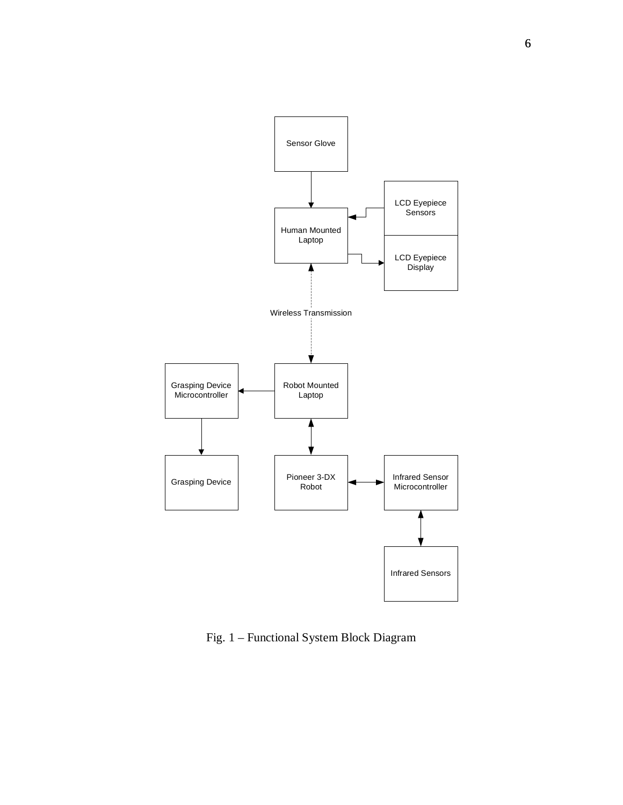

Fig. 1 – Functional System Block Diagram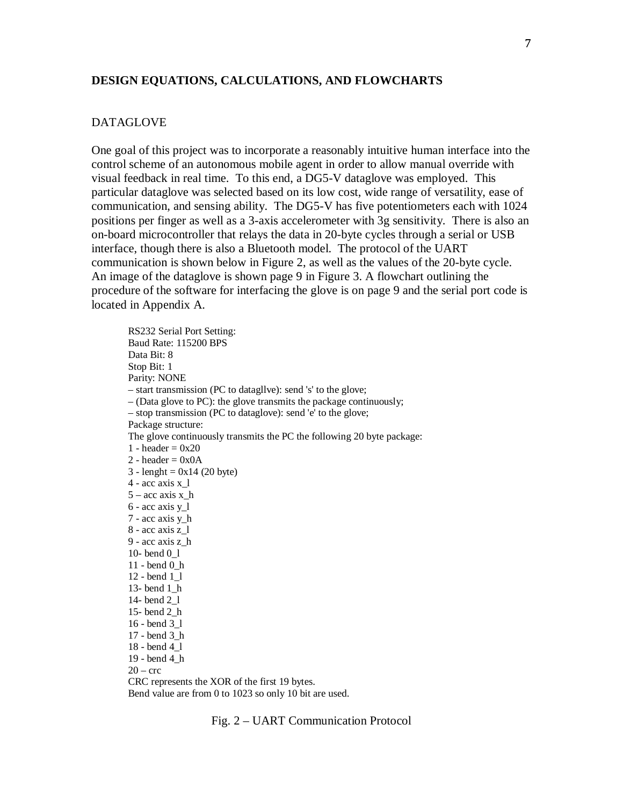#### **DESIGN EQUATIONS, CALCULATIONS, AND FLOWCHARTS**

#### DATAGLOVE

One goal of this project was to incorporate a reasonably intuitive human interface into the control scheme of an autonomous mobile agent in order to allow manual override with visual feedback in real time. To this end, a DG5-V dataglove was employed. This particular dataglove was selected based on its low cost, wide range of versatility, ease of communication, and sensing ability. The DG5-V has five potentiometers each with 1024 positions per finger as well as a 3-axis accelerometer with 3g sensitivity. There is also an on-board microcontroller that relays the data in 20-byte cycles through a serial or USB interface, though there is also a Bluetooth model. The protocol of the UART communication is shown below in Figure 2, as well as the values of the 20-byte cycle. An image of the dataglove is shown page 9 in Figure 3. A flowchart outlining the procedure of the software for interfacing the glove is on page 9 and the serial port code is located in Appendix A.

RS232 Serial Port Setting: Baud Rate: 115200 BPS Data Bit: 8 Stop Bit: 1 Parity: NONE – start transmission (PC to datagllve): send 's' to the glove; – (Data glove to PC): the glove transmits the package continuously; – stop transmission (PC to dataglove): send 'e' to the glove; Package structure: The glove continuously transmits the PC the following 20 byte package: 1 - header  $= 0x20$  $2 - header = 0x0A$  $3 - length = 0x14 (20 byte)$  $4 - \text{acc axis x}$  1  $5 -$  acc axis x h  $6$  - acc axis y 1 7 - acc axis y\_h 8 - acc axis z\_l 9 - acc axis z\_h 10- bend 0\_l 11 - bend 0\_h 12 - bend 1\_l 13- bend 1\_h 14- bend 2\_l 15- bend 2\_h 16 - bend 3\_l 17 - bend 3\_h 18 - bend 4\_l 19 - bend 4\_h  $20 -$  crc

CRC represents the XOR of the first 19 bytes. Bend value are from 0 to 1023 so only 10 bit are used.

Fig. 2 – UART Communication Protocol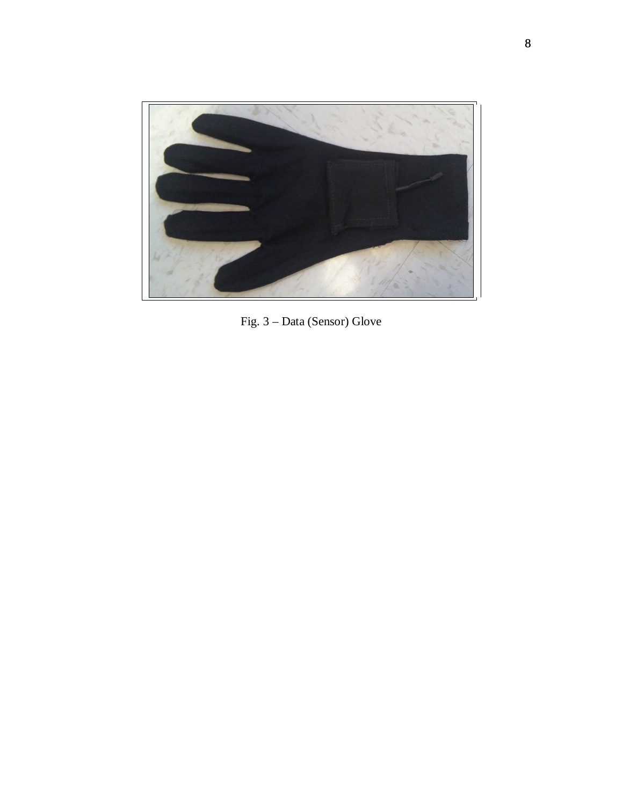

Fig. 3 – Data (Sensor) Glove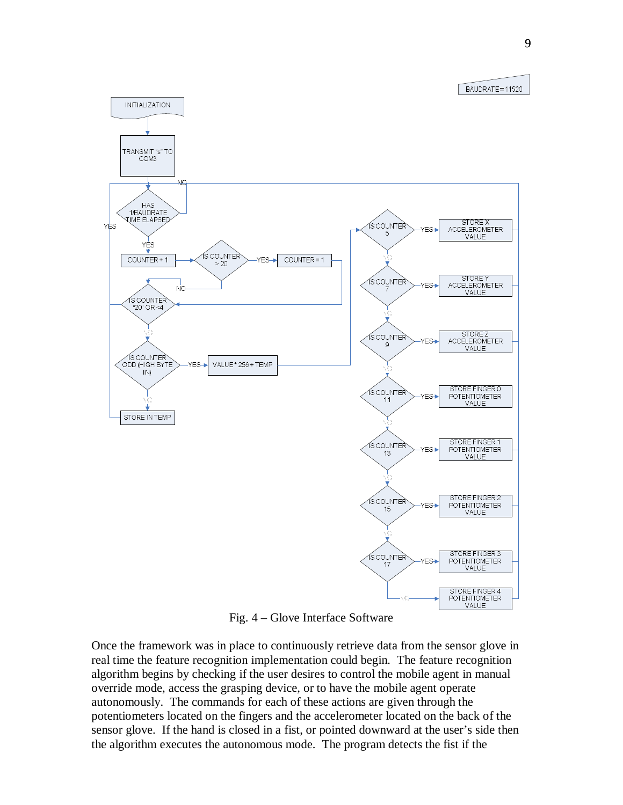BAUDRATE = 11520



Fig. 4 – Glove Interface Software

Once the framework was in place to continuously retrieve data from the sensor glove in real time the feature recognition implementation could begin. The feature recognition algorithm begins by checking if the user desires to control the mobile agent in manual override mode, access the grasping device, or to have the mobile agent operate autonomously. The commands for each of these actions are given through the potentiometers located on the fingers and the accelerometer located on the back of the sensor glove. If the hand is closed in a fist, or pointed downward at the user's side then the algorithm executes the autonomous mode. The program detects the fist if the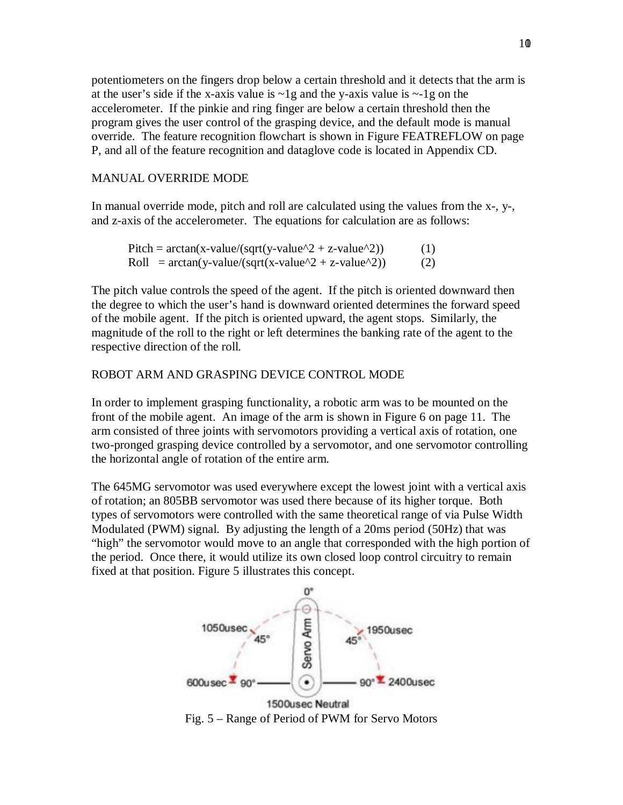potentiometers on the fingers drop below a certain threshold and it detects that the arm is at the user's side if the x-axis value is  $\sim$ 1g and the y-axis value is  $\sim$ -1g on the accelerometer. If the pinkie and ring finger are below a certain threshold then the program gives the user control of the grasping device, and the default mode is manual override. The feature recognition flowchart is shown in Figure FEATREFLOW on page P, and all of the feature recognition and dataglove code is located in Appendix CD.

#### MANUAL OVERRIDE MODE

In manual override mode, pitch and roll are calculated using the values from the x-, y-, and z-axis of the accelerometer. The equations for calculation are as follows:

Pitch =  $\arctan(x-value/(sqrt(y-value^2 + z-value^2))$  (1) Roll =  $\arctan(y-value/(sqrt(x-value^2 + z-value^2))$  (2)

The pitch value controls the speed of the agent. If the pitch is oriented downward then the degree to which the user's hand is downward oriented determines the forward speed of the mobile agent. If the pitch is oriented upward, the agent stops. Similarly, the magnitude of the roll to the right or left determines the banking rate of the agent to the respective direction of the roll.

## ROBOT ARM AND GRASPING DEVICE CONTROL MODE

In order to implement grasping functionality, a robotic arm was to be mounted on the front of the mobile agent. An image of the arm is shown in Figure 6 on page 11. The arm consisted of three joints with servomotors providing a vertical axis of rotation, one two-pronged grasping device controlled by a servomotor, and one servomotor controlling the horizontal angle of rotation of the entire arm.

The 645MG servomotor was used everywhere except the lowest joint with a vertical axis of rotation; an 805BB servomotor was used there because of its higher torque. Both types of servomotors were controlled with the same theoretical range of via Pulse Width Modulated (PWM) signal. By adjusting the length of a 20ms period (50Hz) that was "high" the servomotor would move to an angle that corresponded with the high portion of the period. Once there, it would utilize its own closed loop control circuitry to remain fixed at that position. Figure 5 illustrates this concept.

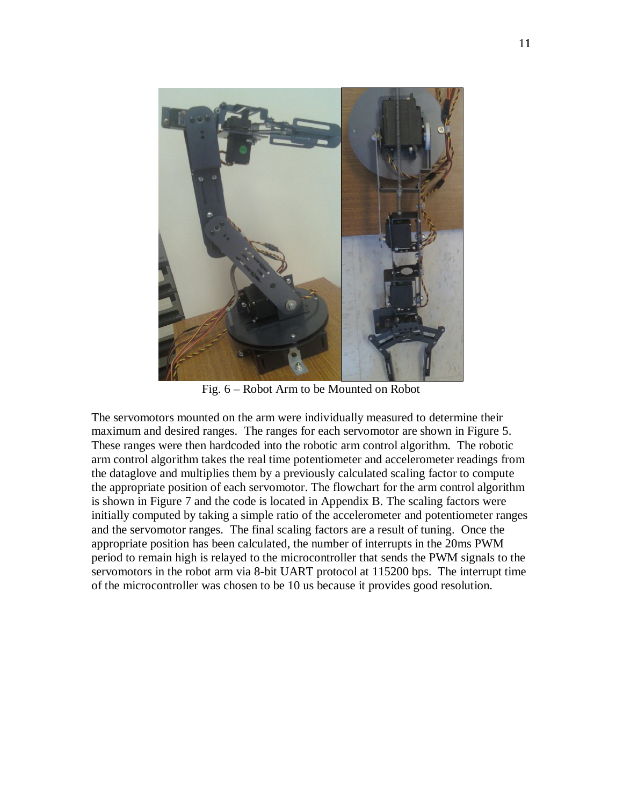

Fig. 6 – Robot Arm to be Mounted on Robot

The servomotors mounted on the arm were individually measured to determine their maximum and desired ranges. The ranges for each servomotor are shown in Figure 5. These ranges were then hardcoded into the robotic arm control algorithm. The robotic arm control algorithm takes the real time potentiometer and accelerometer readings from the dataglove and multiplies them by a previously calculated scaling factor to compute the appropriate position of each servomotor. The flowchart for the arm control algorithm is shown in Figure 7 and the code is located in Appendix B. The scaling factors were initially computed by taking a simple ratio of the accelerometer and potentiometer ranges and the servomotor ranges. The final scaling factors are a result of tuning. Once the appropriate position has been calculated, the number of interrupts in the 20ms PWM period to remain high is relayed to the microcontroller that sends the PWM signals to the servomotors in the robot arm via 8-bit UART protocol at 115200 bps. The interrupt time of the microcontroller was chosen to be 10 us because it provides good resolution.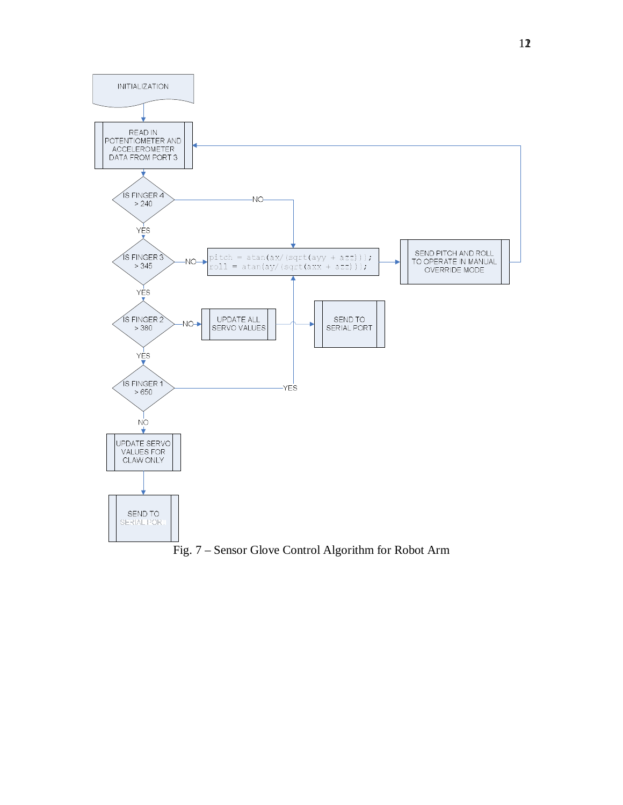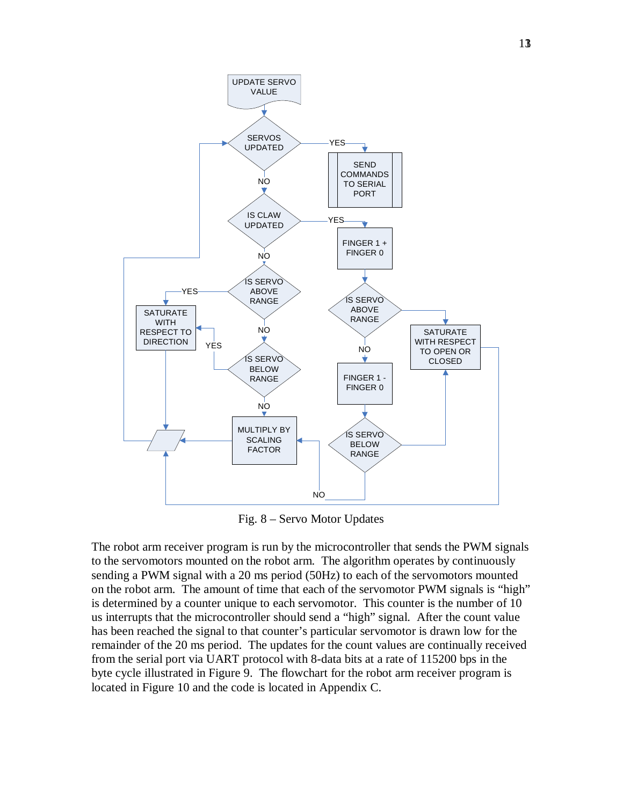

Fig. 8 – Servo Motor Updates

The robot arm receiver program is run by the microcontroller that sends the PWM signals to the servomotors mounted on the robot arm. The algorithm operates by continuously sending a PWM signal with a 20 ms period (50Hz) to each of the servomotors mounted on the robot arm. The amount of time that each of the servomotor PWM signals is "high" is determined by a counter unique to each servomotor. This counter is the number of 10 us interrupts that the microcontroller should send a "high" signal. After the count value has been reached the signal to that counter's particular servomotor is drawn low for the remainder of the 20 ms period. The updates for the count values are continually received from the serial port via UART protocol with 8-data bits at a rate of 115200 bps in the byte cycle illustrated in Figure 9. The flowchart for the robot arm receiver program is located in Figure 10 and the code is located in Appendix C.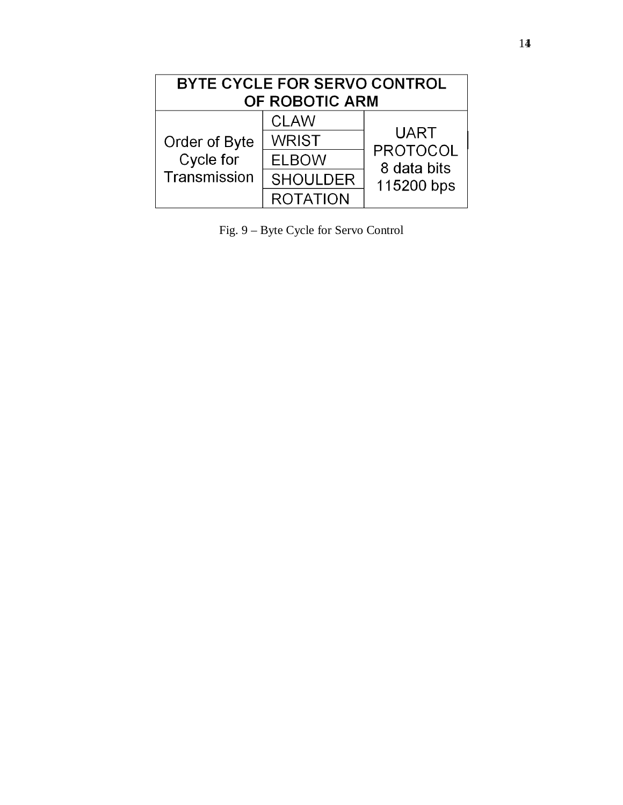| BYTE CYCLE FOR SERVO CONTROL<br>OF ROBOTIC ARM |                 |                                                             |  |  |  |  |
|------------------------------------------------|-----------------|-------------------------------------------------------------|--|--|--|--|
| Order of Byte<br>Cycle for<br>Transmission     | <b>CLAW</b>     | <b>UART</b><br><b>PROTOCOL</b><br>8 data bits<br>115200 bps |  |  |  |  |
|                                                | <b>WRIST</b>    |                                                             |  |  |  |  |
|                                                | <b>ELBOW</b>    |                                                             |  |  |  |  |
|                                                | <b>SHOULDER</b> |                                                             |  |  |  |  |
|                                                | <b>ROTATION</b> |                                                             |  |  |  |  |

Fig. 9 – Byte Cycle for Servo Control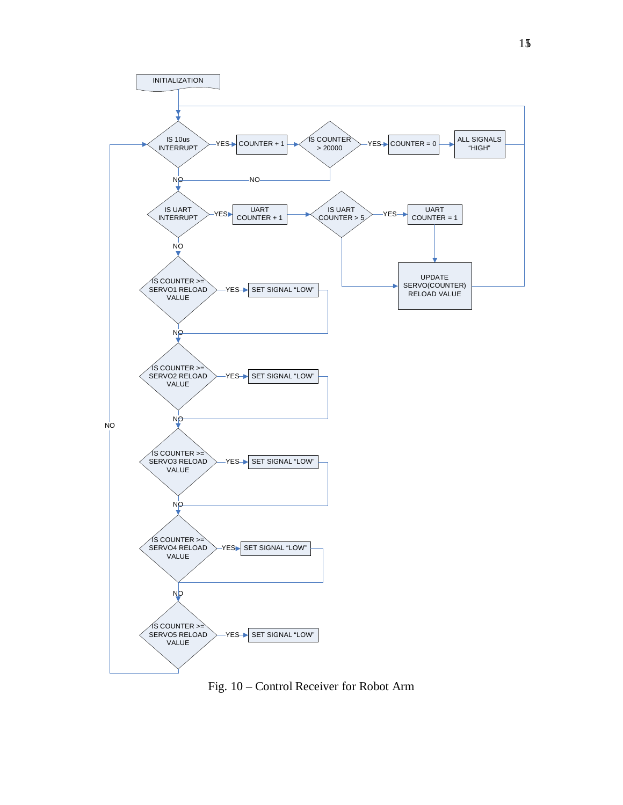

Fig. 10 – Control Receiver for Robot Arm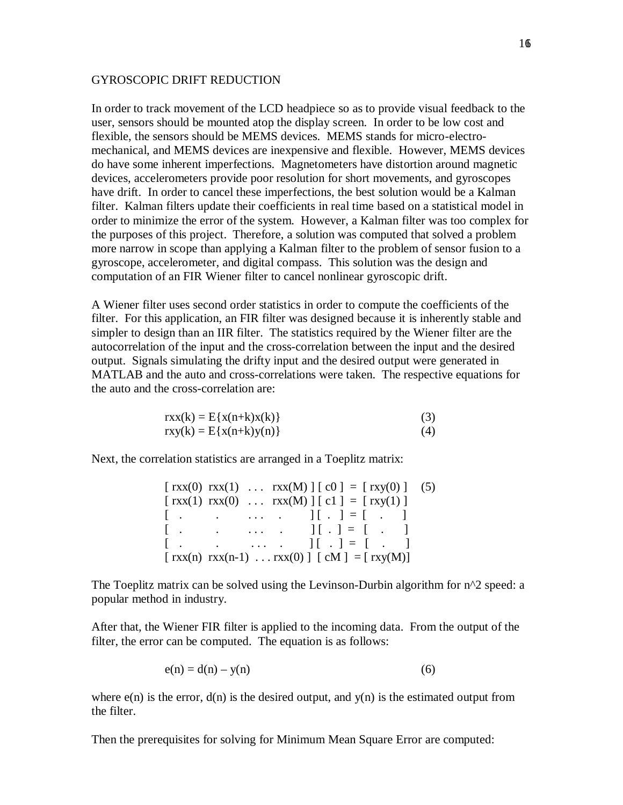#### GYROSCOPIC DRIFT REDUCTION

In order to track movement of the LCD headpiece so as to provide visual feedback to the user, sensors should be mounted atop the display screen. In order to be low cost and flexible, the sensors should be MEMS devices. MEMS stands for micro-electromechanical, and MEMS devices are inexpensive and flexible. However, MEMS devices do have some inherent imperfections. Magnetometers have distortion around magnetic devices, accelerometers provide poor resolution for short movements, and gyroscopes have drift. In order to cancel these imperfections, the best solution would be a Kalman filter. Kalman filters update their coefficients in real time based on a statistical model in order to minimize the error of the system. However, a Kalman filter was too complex for the purposes of this project. Therefore, a solution was computed that solved a problem more narrow in scope than applying a Kalman filter to the problem of sensor fusion to a gyroscope, accelerometer, and digital compass. This solution was the design and computation of an FIR Wiener filter to cancel nonlinear gyroscopic drift.

A Wiener filter uses second order statistics in order to compute the coefficients of the filter. For this application, an FIR filter was designed because it is inherently stable and simpler to design than an IIR filter. The statistics required by the Wiener filter are the autocorrelation of the input and the cross-correlation between the input and the desired output. Signals simulating the drifty input and the desired output were generated in MATLAB and the auto and cross-correlations were taken. The respective equations for the auto and the cross-correlation are:

$$
rxx(k) = E{x(n+k)x(k)}rxy(k) = E{x(n+k)y(n)}(4)
$$

Next, the correlation statistics are arranged in a Toeplitz matrix:

|              |  | $\lceil \text{rxx}(0) \text{rxx}(1) \dots \text{rxx}(M) \rceil \lceil c0 \rceil = \lceil \text{rxy}(0) \rceil$ (5)                                   |  |
|--------------|--|------------------------------------------------------------------------------------------------------------------------------------------------------|--|
|              |  | $\lceil \text{rxx}(1) \text{rxx}(0) \dots \text{rxx}(M) \rceil \lceil c_1 \rceil = \lceil \text{rxy}(1) \rceil$                                      |  |
|              |  | $[ ] [ . ] = [ ]$                                                                                                                                    |  |
|              |  | $[ ] [ . ] = [ ]$                                                                                                                                    |  |
| $\mathbf{L}$ |  | $\begin{bmatrix} 1 & 1 & 1 \\ 1 & 1 & 1 \end{bmatrix}$ $\begin{bmatrix} 1 & 1 \\ 1 & 1 \end{bmatrix}$ $\begin{bmatrix} 1 & 1 \\ 1 & 1 \end{bmatrix}$ |  |
|              |  | [ $\text{rxx}(n) \text{rxx}(n-1) \dots \text{rxx}(0)$ ] [ $\text{cM}$ ] = [ $\text{rxy}(M)$ ]                                                        |  |

The Toeplitz matrix can be solved using the Levinson-Durbin algorithm for  $n^2$  speed: a popular method in industry.

After that, the Wiener FIR filter is applied to the incoming data. From the output of the filter, the error can be computed. The equation is as follows:

$$
e(n) = d(n) - y(n) \tag{6}
$$

where  $e(n)$  is the error,  $d(n)$  is the desired output, and  $y(n)$  is the estimated output from the filter.

Then the prerequisites for solving for Minimum Mean Square Error are computed: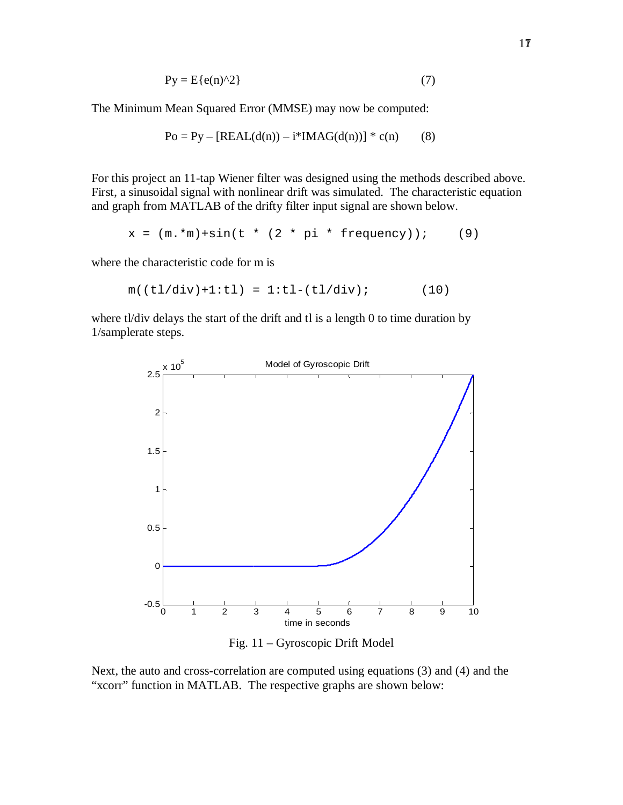$$
Py = E\{e(n)^{\wedge}2\}
$$
 (7)

The Minimum Mean Squared Error (MMSE) may now be computed:

Po = Py – [REAL(d(n)) – 
$$
i*IMAG(d(n))
$$
] \* c(n) (8)

For this project an 11-tap Wiener filter was designed using the methods described above. First, a sinusoidal signal with nonlinear drift was simulated. The characteristic equation and graph from MATLAB of the drifty filter input signal are shown below.

$$
x = (m.*m)*sin(t * (2 * pi * frequency));
$$
 (9)

where the characteristic code for m is

$$
m((t1/div)+1:t1) = 1:t1-(t1/div); \qquad (10)
$$

where tl/div delays the start of the drift and tl is a length 0 to time duration by 1/samplerate steps.



Fig. 11 – Gyroscopic Drift Model

Next, the auto and cross-correlation are computed using equations (3) and (4) and the "xcorr" function in MATLAB. The respective graphs are shown below: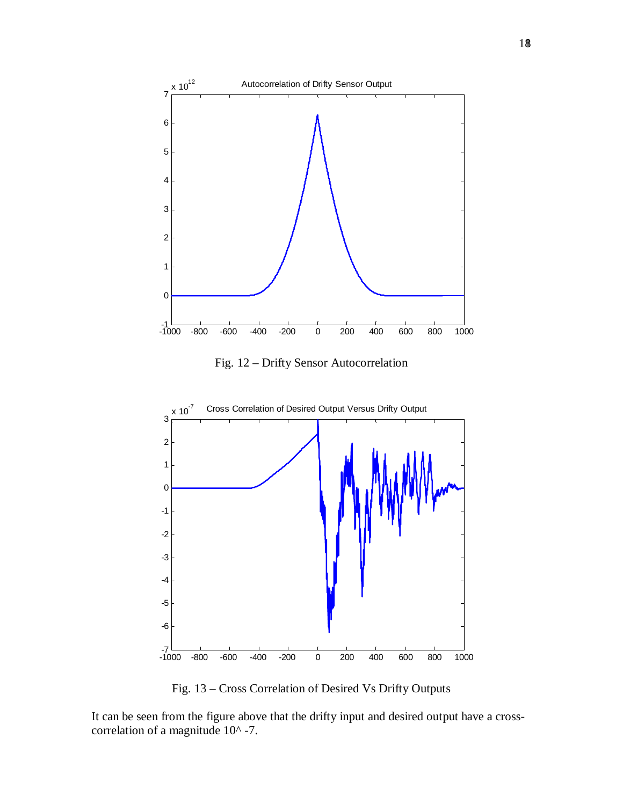

Fig. 12 – Drifty Sensor Autocorrelation



Fig. 13 – Cross Correlation of Desired Vs Drifty Outputs

It can be seen from the figure above that the drifty input and desired output have a crosscorrelation of a magnitude 10^ -7.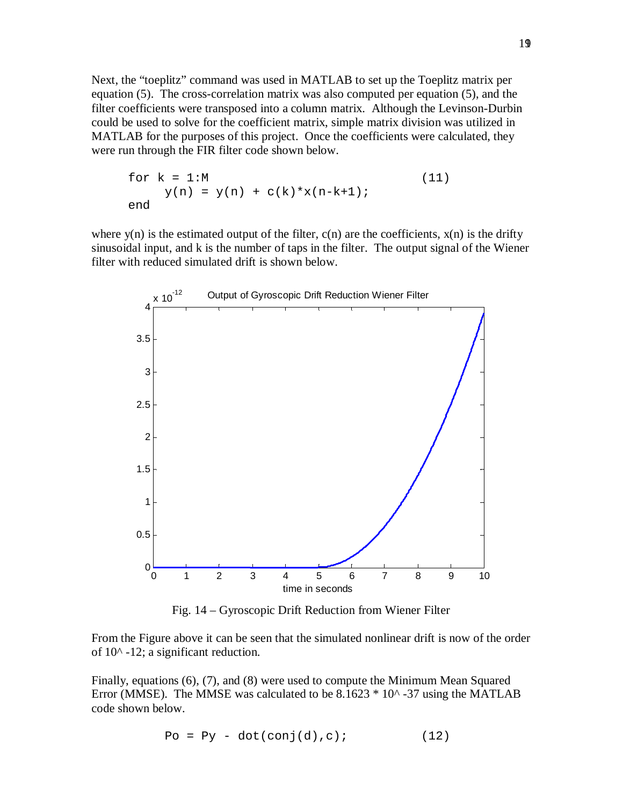Next, the "toeplitz" command was used in MATLAB to set up the Toeplitz matrix per equation (5). The cross-correlation matrix was also computed per equation (5), and the filter coefficients were transposed into a column matrix. Although the Levinson-Durbin could be used to solve for the coefficient matrix, simple matrix division was utilized in MATLAB for the purposes of this project. Once the coefficients were calculated, they were run through the FIR filter code shown below.

for 
$$
k = 1:M
$$
  
\n $y(n) = y(n) + c(k) * x(n-k+1);$  (11)  
\nend

where  $y(n)$  is the estimated output of the filter,  $c(n)$  are the coefficients,  $x(n)$  is the drifty sinusoidal input, and k is the number of taps in the filter. The output signal of the Wiener filter with reduced simulated drift is shown below.



Fig. 14 – Gyroscopic Drift Reduction from Wiener Filter

From the Figure above it can be seen that the simulated nonlinear drift is now of the order of  $10^{\circ}$  -12; a significant reduction.

Finally, equations (6), (7), and (8) were used to compute the Minimum Mean Squared Error (MMSE). The MMSE was calculated to be  $8.1623 * 10<sup>^</sup> - 37$  using the MATLAB code shown below.

$$
Po = Py - dot(conj(d), c); \qquad (12)
$$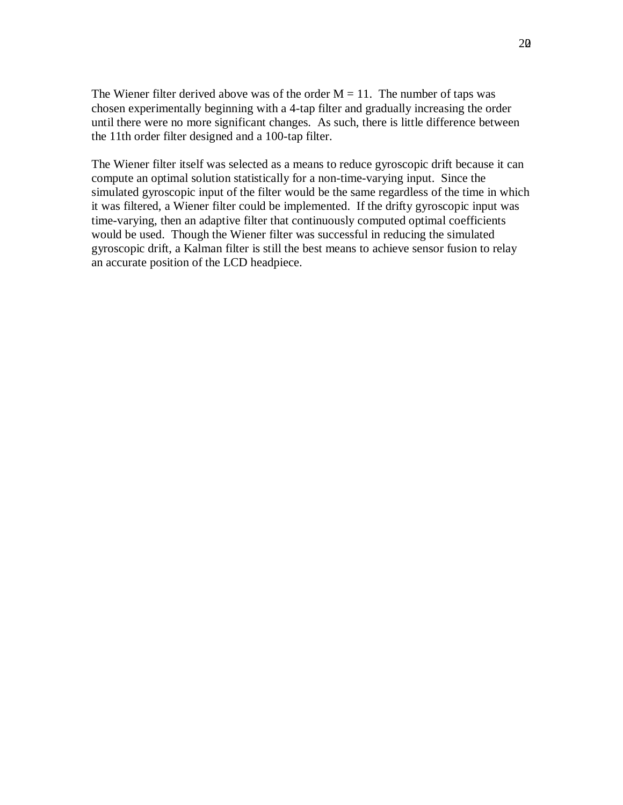The Wiener filter derived above was of the order  $M = 11$ . The number of taps was chosen experimentally beginning with a 4-tap filter and gradually increasing the order until there were no more significant changes. As such, there is little difference between the 11th order filter designed and a 100-tap filter.

The Wiener filter itself was selected as a means to reduce gyroscopic drift because it can compute an optimal solution statistically for a non-time-varying input. Since the simulated gyroscopic input of the filter would be the same regardless of the time in which it was filtered, a Wiener filter could be implemented. If the drifty gyroscopic input was time-varying, then an adaptive filter that continuously computed optimal coefficients would be used. Though the Wiener filter was successful in reducing the simulated gyroscopic drift, a Kalman filter is still the best means to achieve sensor fusion to relay an accurate position of the LCD headpiece.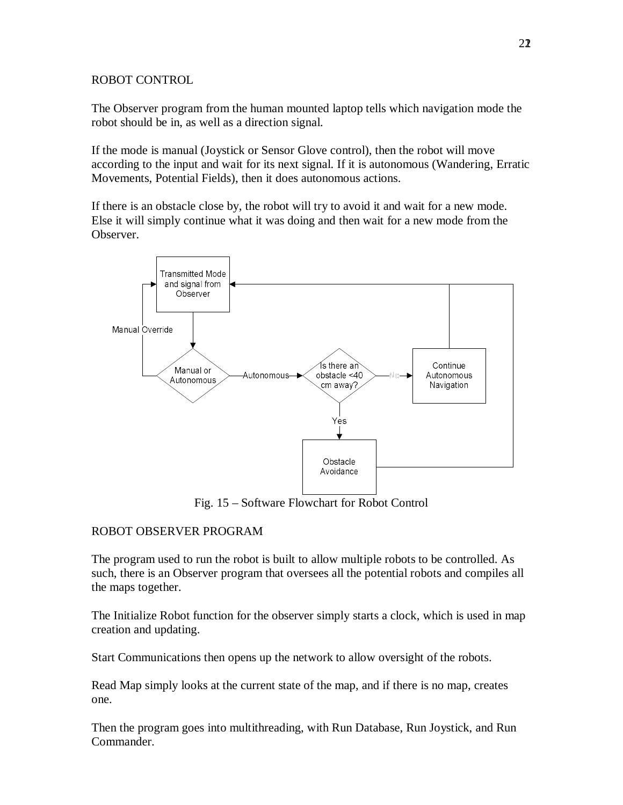## ROBOT CONTROL

The Observer program from the human mounted laptop tells which navigation mode the robot should be in, as well as a direction signal.

If the mode is manual (Joystick or Sensor Glove control), then the robot will move according to the input and wait for its next signal. If it is autonomous (Wandering, Erratic Movements, Potential Fields), then it does autonomous actions.

If there is an obstacle close by, the robot will try to avoid it and wait for a new mode. Else it will simply continue what it was doing and then wait for a new mode from the Observer.



Fig. 15 – Software Flowchart for Robot Control

## ROBOT OBSERVER PROGRAM

The program used to run the robot is built to allow multiple robots to be controlled. As such, there is an Observer program that oversees all the potential robots and compiles all the maps together.

The Initialize Robot function for the observer simply starts a clock, which is used in map creation and updating.

Start Communications then opens up the network to allow oversight of the robots.

Read Map simply looks at the current state of the map, and if there is no map, creates one.

Then the program goes into multithreading, with Run Database, Run Joystick, and Run Commander.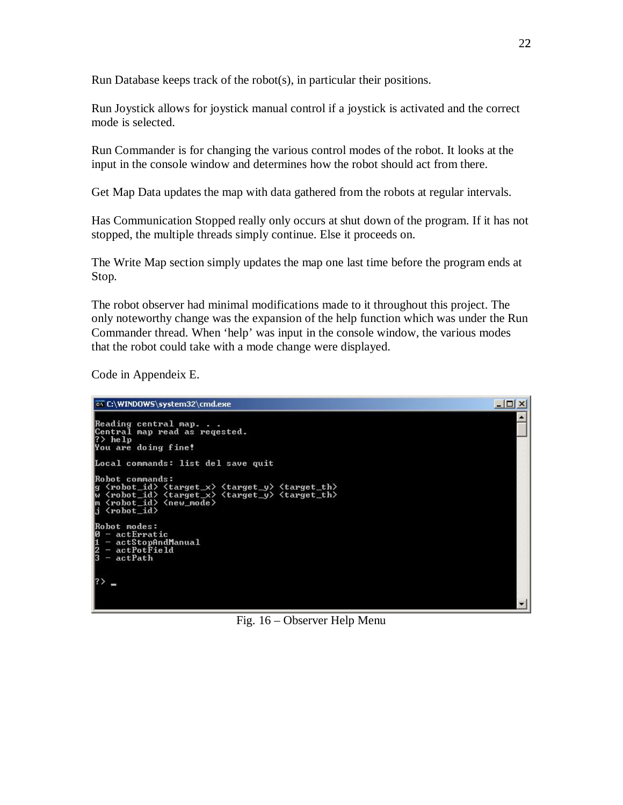Run Database keeps track of the robot(s), in particular their positions.

Run Joystick allows for joystick manual control if a joystick is activated and the correct mode is selected.

Run Commander is for changing the various control modes of the robot. It looks at the input in the console window and determines how the robot should act from there.

Get Map Data updates the map with data gathered from the robots at regular intervals.

Has Communication Stopped really only occurs at shut down of the program. If it has not stopped, the multiple threads simply continue. Else it proceeds on.

The Write Map section simply updates the map one last time before the program ends at Stop.

The robot observer had minimal modifications made to it throughout this project. The only noteworthy change was the expansion of the help function which was under the Run Commander thread. When 'help' was input in the console window, the various modes that the robot could take with a mode change were displayed.

Code in Appendeix E.



Fig. 16 – Observer Help Menu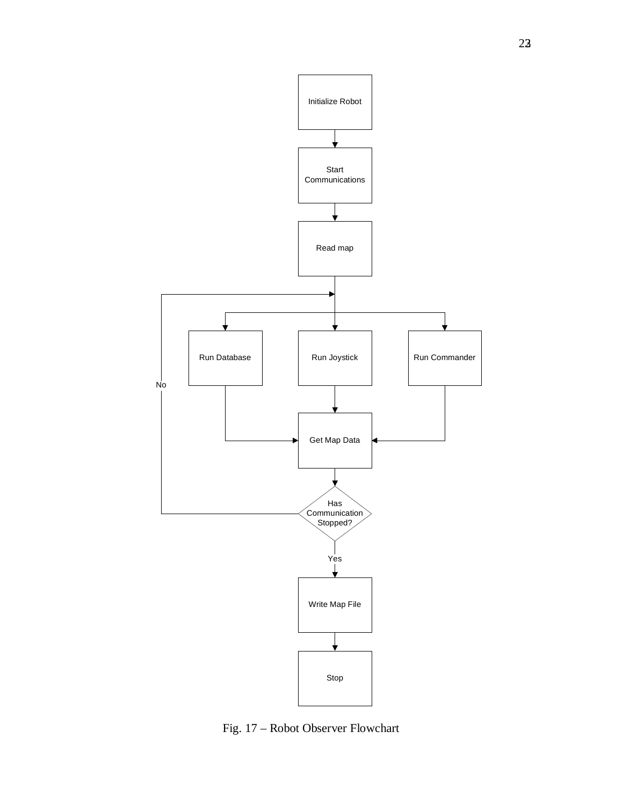

Fig. 17 – Robot Observer Flowchart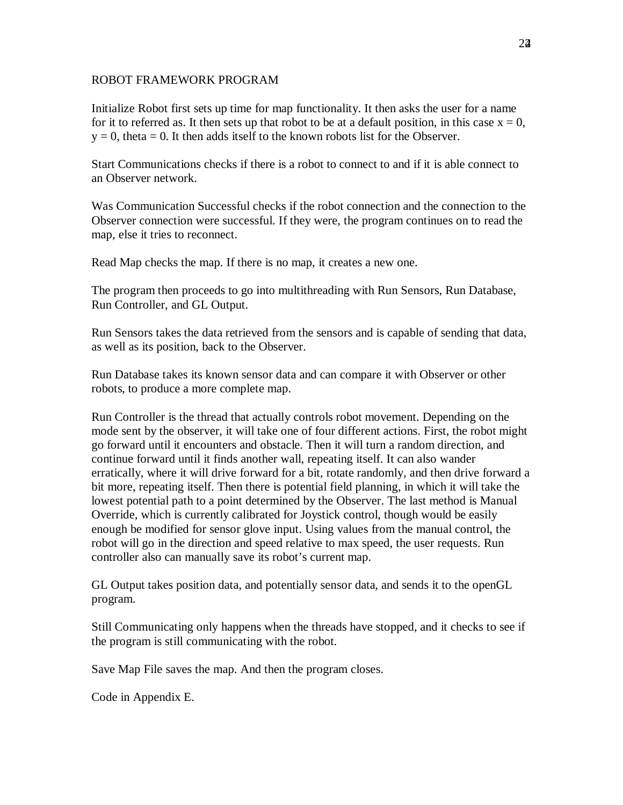#### ROBOT FRAMEWORK PROGRAM

Initialize Robot first sets up time for map functionality. It then asks the user for a name for it to referred as. It then sets up that robot to be at a default position, in this case  $x = 0$ ,  $y = 0$ , theta = 0. It then adds itself to the known robots list for the Observer.

Start Communications checks if there is a robot to connect to and if it is able connect to an Observer network.

Was Communication Successful checks if the robot connection and the connection to the Observer connection were successful. If they were, the program continues on to read the map, else it tries to reconnect.

Read Map checks the map. If there is no map, it creates a new one.

The program then proceeds to go into multithreading with Run Sensors, Run Database, Run Controller, and GL Output.

Run Sensors takes the data retrieved from the sensors and is capable of sending that data, as well as its position, back to the Observer.

Run Database takes its known sensor data and can compare it with Observer or other robots, to produce a more complete map.

Run Controller is the thread that actually controls robot movement. Depending on the mode sent by the observer, it will take one of four different actions. First, the robot might go forward until it encounters and obstacle. Then it will turn a random direction, and continue forward until it finds another wall, repeating itself. It can also wander erratically, where it will drive forward for a bit, rotate randomly, and then drive forward a bit more, repeating itself. Then there is potential field planning, in which it will take the lowest potential path to a point determined by the Observer. The last method is Manual Override, which is currently calibrated for Joystick control, though would be easily enough be modified for sensor glove input. Using values from the manual control, the robot will go in the direction and speed relative to max speed, the user requests. Run controller also can manually save its robot's current map.

GL Output takes position data, and potentially sensor data, and sends it to the openGL program.

Still Communicating only happens when the threads have stopped, and it checks to see if the program is still communicating with the robot.

Save Map File saves the map. And then the program closes.

Code in Appendix E.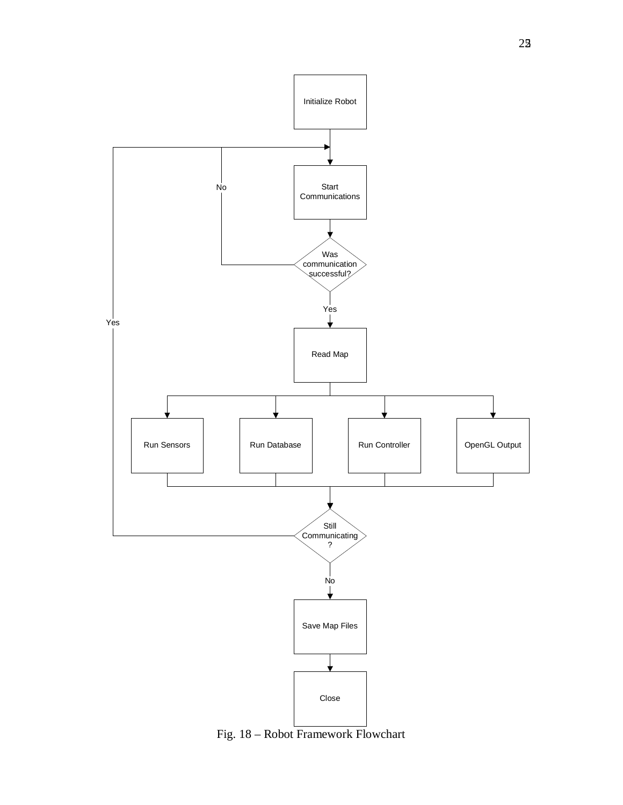

Fig. 18 – Robot Framework Flowchart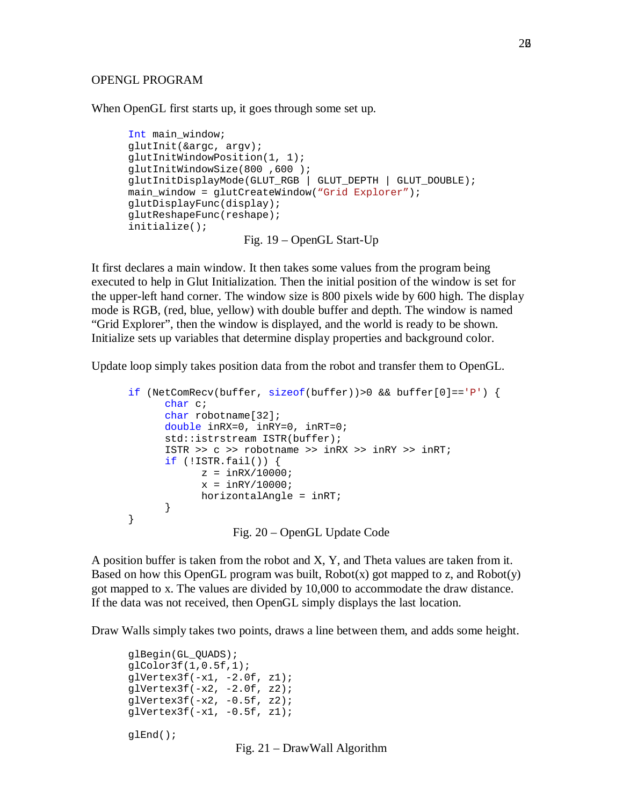#### OPENGL PROGRAM

When OpenGL first starts up, it goes through some set up.

```
Int main_window;
glutInit(&argc, argv);
glutInitWindowPosition(1, 1);
glutInitWindowSize(800 ,600 );
glutInitDisplayMode(GLUT_RGB | GLUT_DEPTH | GLUT_DOUBLE);
main window = qlutCreateWindow("Grid Explorer");
glutDisplayFunc(display);
glutReshapeFunc(reshape);
initialize();
                   Fig. 19 – OpenGL Start-Up
```
It first declares a main window. It then takes some values from the program being executed to help in Glut Initialization. Then the initial position of the window is set for the upper-left hand corner. The window size is 800 pixels wide by 600 high. The display mode is RGB, (red, blue, yellow) with double buffer and depth. The window is named "Grid Explorer", then the window is displayed, and the world is ready to be shown. Initialize sets up variables that determine display properties and background color.

Update loop simply takes position data from the robot and transfer them to OpenGL.

```
if (NetComRecv(buffer, sizeof(buffer))>0 && buffer[0]=='P') {
       char c;
       char robotname[32];
       double inRX=0, inRY=0, inRT=0;
       std::istrstream ISTR(buffer);
       ISTR >> c >> robotname >> inRX >> inRY >> inRT;
      if (!ISTR.find1()) {
            z = \text{inRX}/10000;
            x = \text{inRY}/10000;
            horizontalAngle = inRT;
      }
}
                  Fig. 20 – OpenGL Update Code
```
A position buffer is taken from the robot and X, Y, and Theta values are taken from it. Based on how this OpenGL program was built,  $Robot(x)$  got mapped to z, and  $Robot(y)$ got mapped to x. The values are divided by 10,000 to accommodate the draw distance. If the data was not received, then OpenGL simply displays the last location.

Draw Walls simply takes two points, draws a line between them, and adds some height.

glBegin(GL\_QUADS); glColor3f(1,0.5f,1);  $qlVertextex3f(-x1, -2.0f, z1);$ qlVertex $3f(-x^2, -2.0f, z^2);$ qlVertex $3f(-x^2, -0.5f, z^2);$  $qlVertextex3f(-x1, -0.5f, z1);$ glEnd();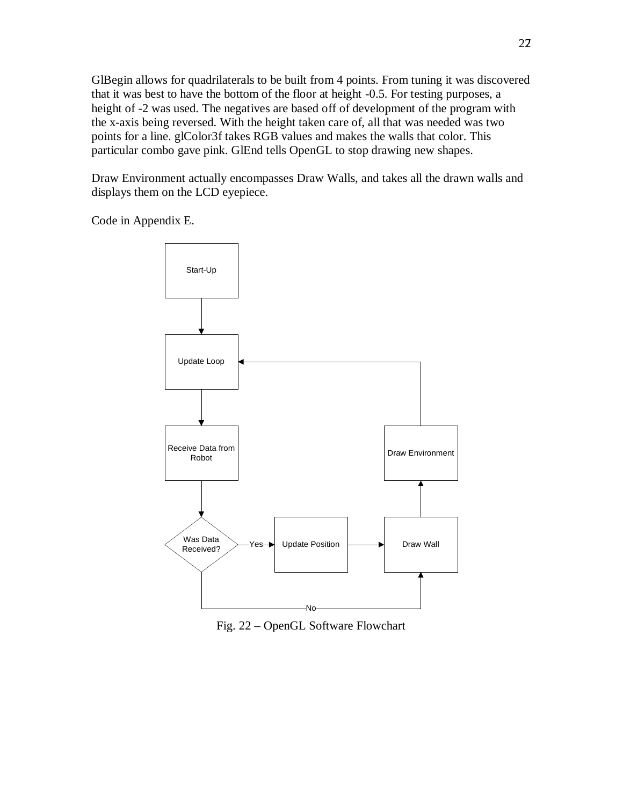GlBegin allows for quadrilaterals to be built from 4 points. From tuning it was discovered that it was best to have the bottom of the floor at height -0.5. For testing purposes, a height of -2 was used. The negatives are based off of development of the program with the x-axis being reversed. With the height taken care of, all that was needed was two points for a line. glColor3f takes RGB values and makes the walls that color. This particular combo gave pink. GlEnd tells OpenGL to stop drawing new shapes.

Draw Environment actually encompasses Draw Walls, and takes all the drawn walls and displays them on the LCD eyepiece.

Code in Appendix E.



Fig. 22 – OpenGL Software Flowchart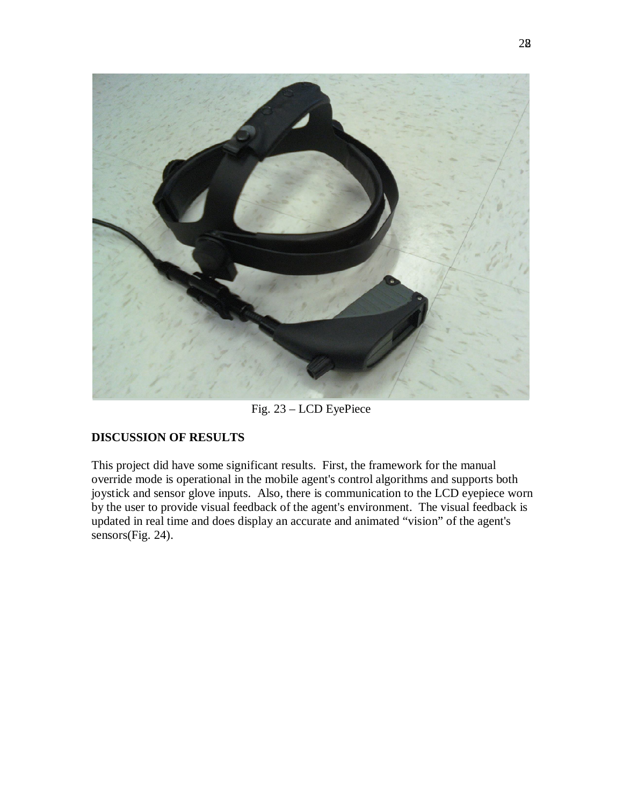

Fig. 23 – LCD EyePiece

## **DISCUSSION OF RESULTS**

This project did have some significant results. First, the framework for the manual override mode is operational in the mobile agent's control algorithms and supports both joystick and sensor glove inputs. Also, there is communication to the LCD eyepiece worn by the user to provide visual feedback of the agent's environment. The visual feedback is updated in real time and does display an accurate and animated "vision" of the agent's sensors(Fig. 24).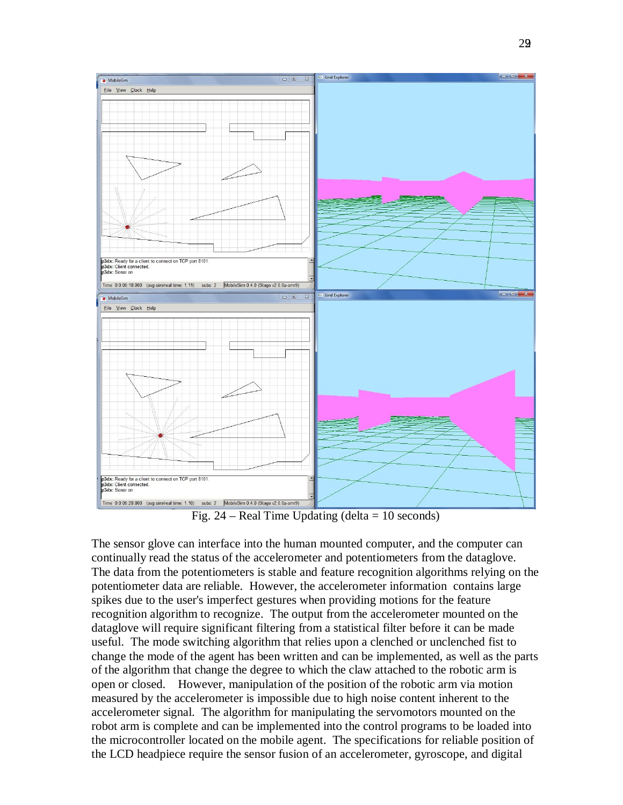

Fig.  $24$  – Real Time Updating (delta = 10 seconds)

The sensor glove can interface into the human mounted computer, and the computer can continually read the status of the accelerometer and potentiometers from the dataglove. The data from the potentiometers is stable and feature recognition algorithms relying on the potentiometer data are reliable. However, the accelerometer information contains large spikes due to the user's imperfect gestures when providing motions for the feature recognition algorithm to recognize. The output from the accelerometer mounted on the dataglove will require significant filtering from a statistical filter before it can be made useful. The mode switching algorithm that relies upon a clenched or unclenched fist to change the mode of the agent has been written and can be implemented, as well as the parts of the algorithm that change the degree to which the claw attached to the robotic arm is open or closed. However, manipulation of the position of the robotic arm via motion measured by the accelerometer is impossible due to high noise content inherent to the accelerometer signal. The algorithm for manipulating the servomotors mounted on the robot arm is complete and can be implemented into the control programs to be loaded into the microcontroller located on the mobile agent. The specifications for reliable position of the LCD headpiece require the sensor fusion of an accelerometer, gyroscope, and digital